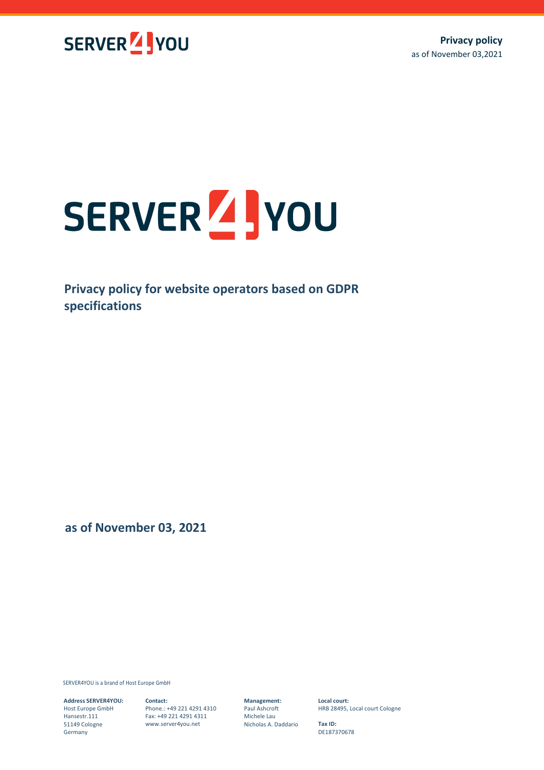

# SERVER 4 you

**Privacy policy for website operators based on GDPR specifications**

**as of November 03, 2021**

SERVER4YOU is a brand of Host Europe GmbH

**Address SERVER4YOU:** Host Europe GmbH Hansestr.111 51149 Cologne Germany

**Contact:** Phone.: +49 221 4291 4310 Fax: +49 221 4291 4311 www.server4you.net

**Management:** Paul Ashcroft

Michele Lau Nicholas A. Daddario **Local court:** HRB 28495, Local court Cologne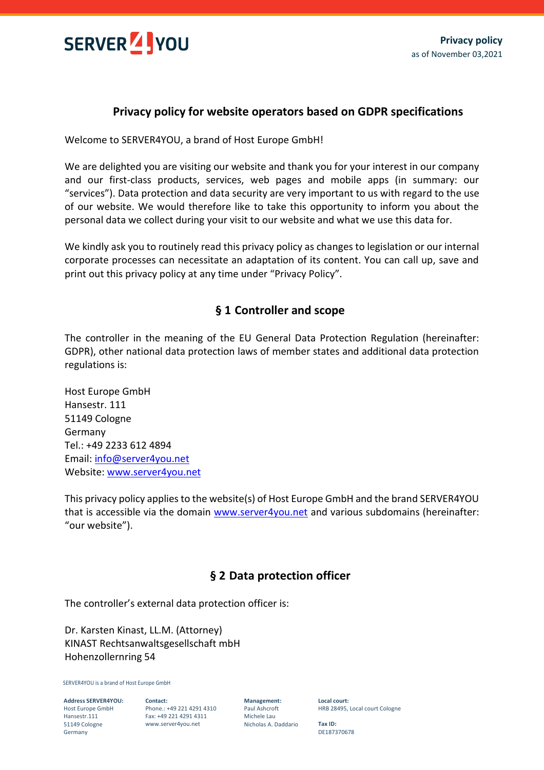

## **Privacy policy for website operators based on GDPR specifications**

Welcome to SERVER4YOU, a brand of Host Europe GmbH!

We are delighted you are visiting our website and thank you for your interest in our company and our first-class products, services, web pages and mobile apps (in summary: our "services"). Data protection and data security are very important to us with regard to the use of our website. We would therefore like to take this opportunity to inform you about the personal data we collect during your visit to our website and what we use this data for.

We kindly ask you to routinely read this privacy policy as changes to legislation or our internal corporate processes can necessitate an adaptation of its content. You can call up, save and print out this privacy policy at any time under "Privacy Policy".

## **§ 1 Controller and scope**

The controller in the meaning of the EU General Data Protection Regulation (hereinafter: GDPR), other national data protection laws of member states and additional data protection regulations is:

Host Europe GmbH Hansestr. 111 51149 Cologne Germany Tel.: +49 2233 612 4894 Email: [info@server4you.net](mailto:info@server4you.net) Website: [www.server4you.net](http://www.server4you.net/)

This privacy policy applies to the website(s) of Host Europe GmbH and the brand SERVER4YOU that is accessible via the domain [www.server4you.net](http://www.server4you.net/) and various subdomains (hereinafter: "our website").

# **§ 2 Data protection officer**

The controller's external data protection officer is:

Dr. Karsten Kinast, LL.M. (Attorney) KINAST Rechtsanwaltsgesellschaft mbH Hohenzollernring 54

SERVER4YOU is a brand of Host Europe GmbH

**Address SERVER4YOU:** Host Europe GmbH Hansestr.111 51149 Cologne Germany

**Contact:** Phone.: +49 221 4291 4310 Fax: +49 221 4291 4311 www.server4you.net

**Management:** Paul Ashcroft Michele Lau Nicholas A. Daddario **Local court:** HRB 28495, Local court Cologne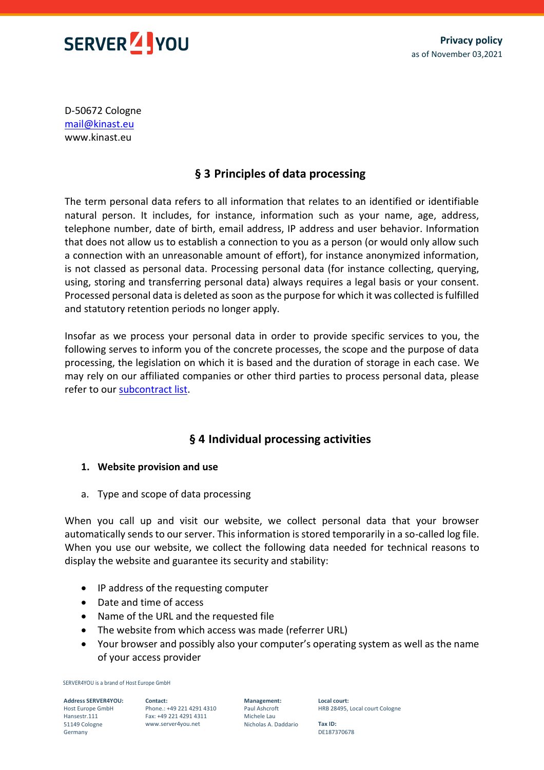

D-50672 Cologne [mail@kinast.eu](mailto:mail@kinast.eu) www.kinast.eu

# **§ 3 Principles of data processing**

The term personal data refers to all information that relates to an identified or identifiable natural person. It includes, for instance, information such as your name, age, address, telephone number, date of birth, email address, IP address and user behavior. Information that does not allow us to establish a connection to you as a person (or would only allow such a connection with an unreasonable amount of effort), for instance anonymized information, is not classed as personal data. Processing personal data (for instance collecting, querying, using, storing and transferring personal data) always requires a legal basis or your consent. Processed personal data is deleted as soon as the purpose for which it was collected is fulfilled and statutory retention periods no longer apply.

Insofar as we process your personal data in order to provide specific services to you, the following serves to inform you of the concrete processes, the scope and the purpose of data processing, the legislation on which it is based and the duration of storage in each case. We may rely on our affiliated companies or other third parties to process personal data, please refer to our [subcontract list.](https://www.server4you.net/legal-and-documents)

# **§ 4 Individual processing activities**

#### **1. Website provision and use**

a. Type and scope of data processing

When you call up and visit our website, we collect personal data that your browser automatically sends to our server. This information is stored temporarily in a so-called log file. When you use our website, we collect the following data needed for technical reasons to display the website and guarantee its security and stability:

- IP address of the requesting computer
- Date and time of access
- Name of the URL and the requested file
- The website from which access was made (referrer URL)
- Your browser and possibly also your computer's operating system as well as the name of your access provider

SERVER4YOU is a brand of Host Europe GmbH

**Address SERVER4YOU:** Host Europe GmbH Hansestr.111 51149 Cologne Germany

**Contact:** Phone.: +49 221 4291 4310 Fax: +49 221 4291 4311 www.server4you.net

**Management:** Paul Ashcroft Michele Lau Nicholas A. Daddario

**Local court:** HRB 28495, Local court Cologne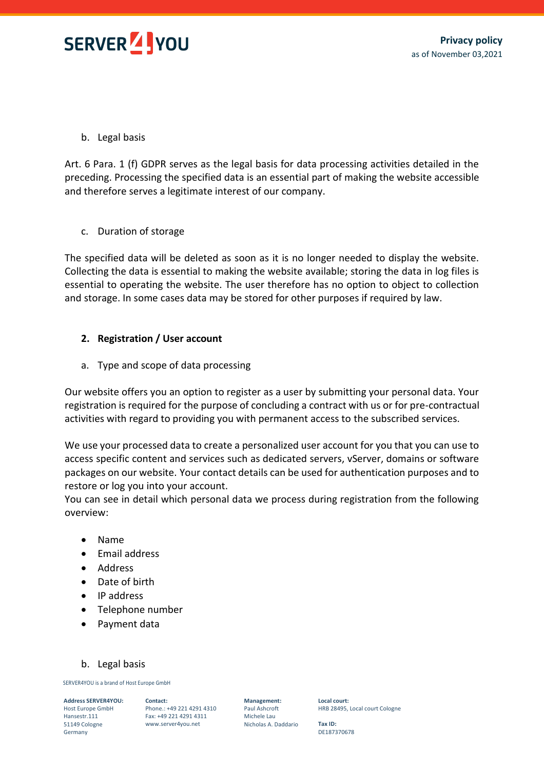

## b. Legal basis

Art. 6 Para. 1 (f) GDPR serves as the legal basis for data processing activities detailed in the preceding. Processing the specified data is an essential part of making the website accessible and therefore serves a legitimate interest of our company.

## c. Duration of storage

The specified data will be deleted as soon as it is no longer needed to display the website. Collecting the data is essential to making the website available; storing the data in log files is essential to operating the website. The user therefore has no option to object to collection and storage. In some cases data may be stored for other purposes if required by law.

## **2. Registration / User account**

a. Type and scope of data processing

Our website offers you an option to register as a user by submitting your personal data. Your registration is required for the purpose of concluding a contract with us or for pre-contractual activities with regard to providing you with permanent access to the subscribed services.

We use your processed data to create a personalized user account for you that you can use to access specific content and services such as dedicated servers, vServer, domains or software packages on our website. Your contact details can be used for authentication purposes and to restore or log you into your account.

You can see in detail which personal data we process during registration from the following overview:

- Name
- Email address
- Address
- Date of birth
- IP address
- Telephone number
- Payment data

#### b. Legal basis

SERVER4YOU is a brand of Host Europe GmbH

**Address SERVER4YOU:**

Host Europe GmbH Hansestr.111 51149 Cologne Germany

**Contact:** Phone.: +49 221 4291 4310 Fax: +49 221 4291 4311 www.server4you.net

**Management:** Paul Ashcroft Michele Lau Nicholas A. Daddario **Local court:** HRB 28495, Local court Cologne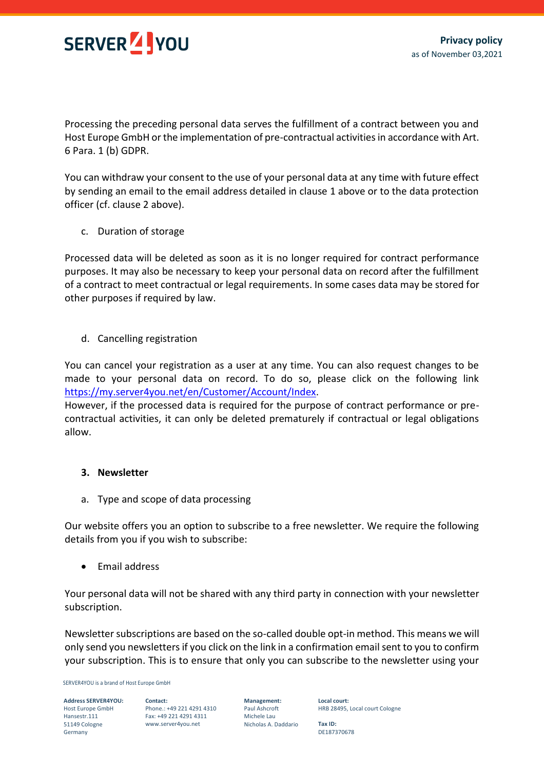

Processing the preceding personal data serves the fulfillment of a contract between you and Host Europe GmbH or the implementation of pre-contractual activities in accordance with Art. 6 Para. 1 (b) GDPR.

You can withdraw your consent to the use of your personal data at any time with future effect by sending an email to the email address detailed in clause 1 above or to the data protection officer (cf. clause 2 above).

c. Duration of storage

Processed data will be deleted as soon as it is no longer required for contract performance purposes. It may also be necessary to keep your personal data on record after the fulfillment of a contract to meet contractual or legal requirements. In some cases data may be stored for other purposes if required by law.

d. Cancelling registration

You can cancel your registration as a user at any time. You can also request changes to be made to your personal data on record. To do so, please click on the following link [https://my.server4you.net/en/Customer/Account/Index.](https://my.server4you.net/en/Customer/Account/Index)

However, if the processed data is required for the purpose of contract performance or precontractual activities, it can only be deleted prematurely if contractual or legal obligations allow.

#### **3. Newsletter**

a. Type and scope of data processing

Our website offers you an option to subscribe to a free newsletter. We require the following details from you if you wish to subscribe:

• Email address

Your personal data will not be shared with any third party in connection with your newsletter subscription.

Newsletter subscriptions are based on the so-called double opt-in method. This means we will only send you newsletters if you click on the link in a confirmation email sent to you to confirm your subscription. This is to ensure that only you can subscribe to the newsletter using your

SERVER4YOU is a brand of Host Europe GmbH

**Address SERVER4YOU:** Host Europe GmbH Hansestr.111 51149 Cologne Germany

**Contact:** Phone.: +49 221 4291 4310 Fax: +49 221 4291 4311 www.server4you.net

**Management:** Paul Ashcroft Michele Lau Nicholas A. Daddario **Local court:** HRB 28495, Local court Cologne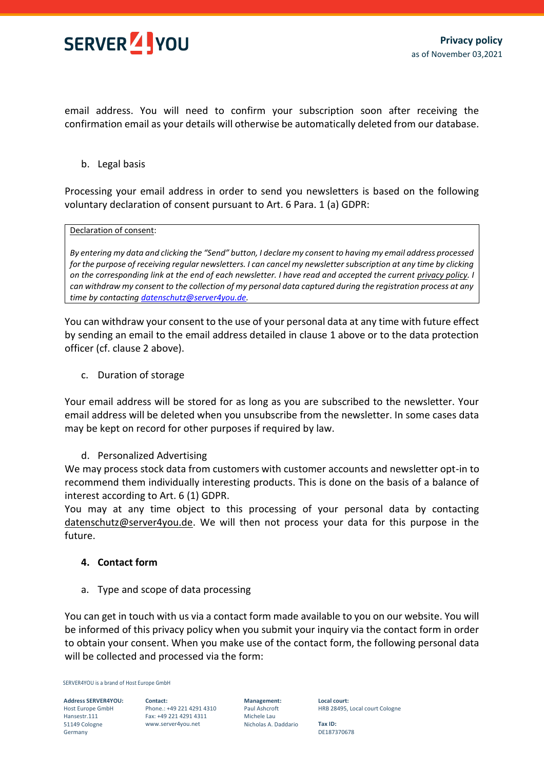

email address. You will need to confirm your subscription soon after receiving the confirmation email as your details will otherwise be automatically deleted from our database.

b. Legal basis

Processing your email address in order to send you newsletters is based on the following voluntary declaration of consent pursuant to Art. 6 Para. 1 (a) GDPR:

#### Declaration of consent:

*By entering my data and clicking the "Send" button, I declare my consent to having my email address processed for the purpose of receiving regular newsletters. I can cancel my newsletter subscription at any time by clicking on the corresponding link at the end of each newsletter. I have read and accepted the current privacy policy. I can withdraw my consent to the collection of my personal data captured during the registration process at any time by contactin[g datenschutz@server4you.de.](mailto:datenschutz@server4you.de)*

You can withdraw your consent to the use of your personal data at any time with future effect by sending an email to the email address detailed in clause 1 above or to the data protection officer (cf. clause 2 above).

c. Duration of storage

Your email address will be stored for as long as you are subscribed to the newsletter. Your email address will be deleted when you unsubscribe from the newsletter. In some cases data may be kept on record for other purposes if required by law.

#### d. Personalized Advertising

We may process stock data from customers with customer accounts and newsletter opt-in to recommend them individually interesting products. This is done on the basis of a balance of interest according to Art. 6 (1) GDPR.

You may at any time object to this processing of your personal data by contacting [datenschutz@server4you.de.](mailto:datenschutz@server4you.de) We will then not process your data for this purpose in the future.

#### **4. Contact form**

a. Type and scope of data processing

You can get in touch with us via a contact form made available to you on our website. You will be informed of this privacy policy when you submit your inquiry via the contact form in order to obtain your consent. When you make use of the contact form, the following personal data will be collected and processed via the form:

SERVER4YOU is a brand of Host Europe GmbH

**Address SERVER4YOU:** Host Europe GmbH Hansestr.111 51149 Cologne Germany

**Contact:** Phone.: +49 221 4291 4310 Fax: +49 221 4291 4311 www.server4you.net

**Management:** Paul Ashcroft Michele Lau Nicholas A. Daddario **Local court:** HRB 28495, Local court Cologne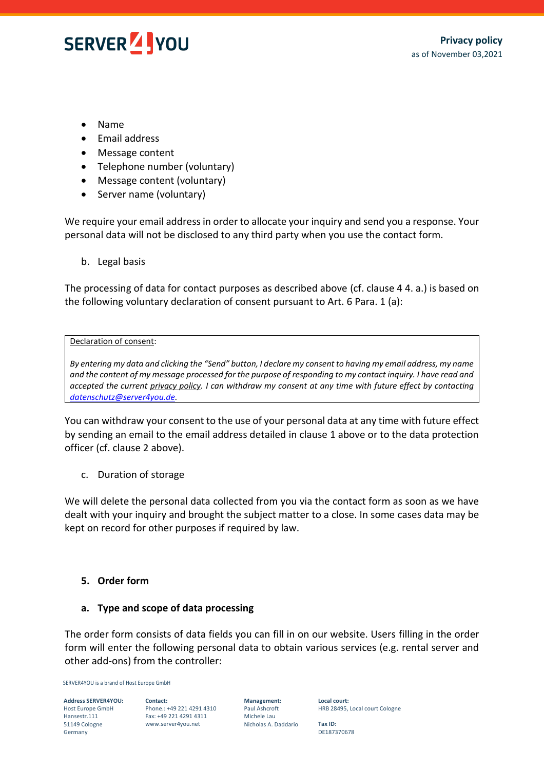

- Name
- Email address
- Message content
- Telephone number (voluntary)
- Message content (voluntary)
- Server name (voluntary)

We require your email address in order to allocate your inquiry and send you a response. Your personal data will not be disclosed to any third party when you use the contact form.

b. Legal basis

The processing of data for contact purposes as described above (cf. clause 4 4. a.) is based on the following voluntary declaration of consent pursuant to Art. 6 Para. 1 (a):

#### Declaration of consent:

*By entering my data and clicking the "Send" button, I declare my consent to having my email address, my name and the content of my message processed for the purpose of responding to my contact inquiry. I have read and accepted the current privacy policy. I can withdraw my consent at any time with future effect by contacting [datenschutz@server4you.de.](mailto:datenschutz@server4you.de)*

You can withdraw your consent to the use of your personal data at any time with future effect by sending an email to the email address detailed in clause 1 above or to the data protection officer (cf. clause 2 above).

c. Duration of storage

We will delete the personal data collected from you via the contact form as soon as we have dealt with your inquiry and brought the subject matter to a close. In some cases data may be kept on record for other purposes if required by law.

#### **5. Order form**

#### **a. Type and scope of data processing**

The order form consists of data fields you can fill in on our website. Users filling in the order form will enter the following personal data to obtain various services (e.g. rental server and other add-ons) from the controller:

SERVER4YOU is a brand of Host Europe GmbH

**Address SERVER4YOU:** Host Europe GmbH Hansestr.111 51149 Cologne Germany

**Contact:** Phone.: +49 221 4291 4310 Fax: +49 221 4291 4311 www.server4you.net

**Management:** Paul Ashcroft Michele Lau Nicholas A. Daddario **Local court:** HRB 28495, Local court Cologne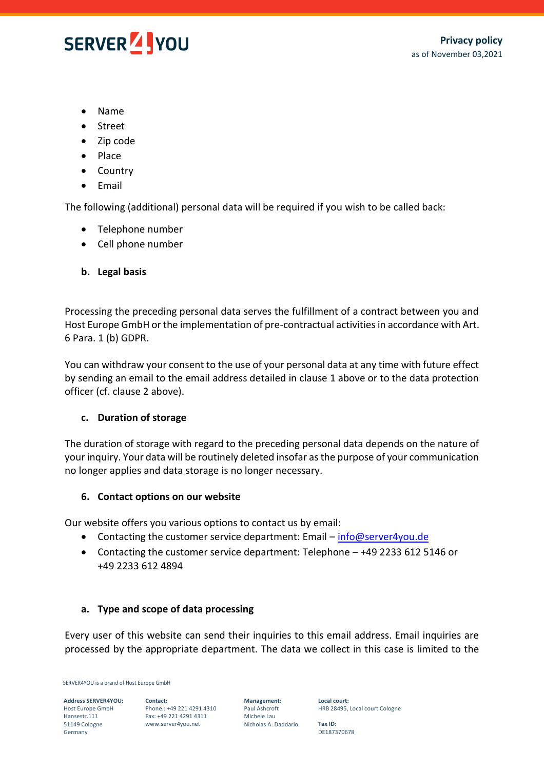

- Name
- Street
- Zip code
- Place
- Country
- Email

The following (additional) personal data will be required if you wish to be called back:

- Telephone number
- Cell phone number
- **b. Legal basis**

Processing the preceding personal data serves the fulfillment of a contract between you and Host Europe GmbH or the implementation of pre-contractual activities in accordance with Art. 6 Para. 1 (b) GDPR.

You can withdraw your consent to the use of your personal data at any time with future effect by sending an email to the email address detailed in clause 1 above or to the data protection officer (cf. clause 2 above).

## **c. Duration of storage**

The duration of storage with regard to the preceding personal data depends on the nature of your inquiry. Your data will be routinely deleted insofar as the purpose of your communication no longer applies and data storage is no longer necessary.

#### **6. Contact options on our website**

Our website offers you various options to contact us by email:

- Contacting the customer service department: Email [info@server4you.de](mailto:info@server4you.de)
- Contacting the customer service department: Telephone +49 2233 612 5146 or +49 2233 612 4894

#### **a. Type and scope of data processing**

Every user of this website can send their inquiries to this email address. Email inquiries are processed by the appropriate department. The data we collect in this case is limited to the

SERVER4YOU is a brand of Host Europe GmbH

**Address SERVER4YOU:** Host Europe GmbH Hansestr.111 51149 Cologne Germany

**Contact:** Phone.: +49 221 4291 4310 Fax: +49 221 4291 4311 www.server4you.net

**Management:** Paul Ashcroft Michele Lau Nicholas A. Daddario

**Local court:** HRB 28495, Local court Cologne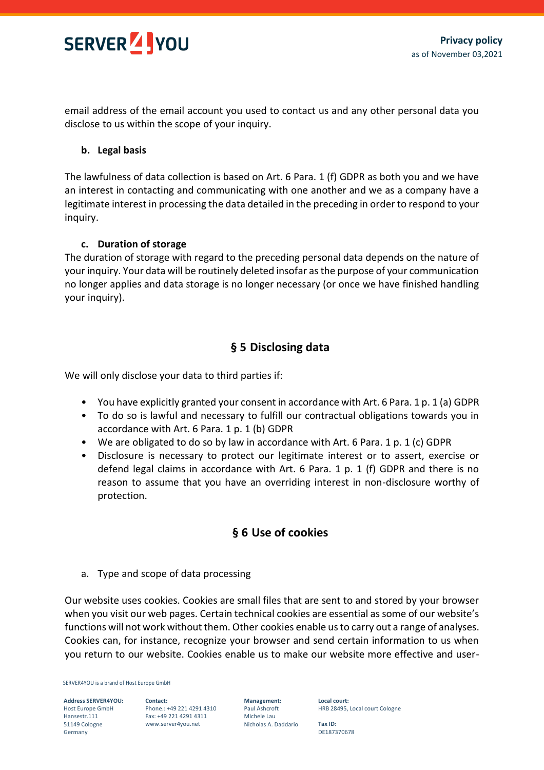

email address of the email account you used to contact us and any other personal data you disclose to us within the scope of your inquiry.

## **b. Legal basis**

The lawfulness of data collection is based on Art. 6 Para. 1 (f) GDPR as both you and we have an interest in contacting and communicating with one another and we as a company have a legitimate interest in processing the data detailed in the preceding in order to respond to your inquiry.

#### **c. Duration of storage**

The duration of storage with regard to the preceding personal data depends on the nature of your inquiry. Your data will be routinely deleted insofar as the purpose of your communication no longer applies and data storage is no longer necessary (or once we have finished handling your inquiry).

# **§ 5 Disclosing data**

We will only disclose your data to third parties if:

- You have explicitly granted your consent in accordance with Art. 6 Para. 1 p. 1 (a) GDPR
- To do so is lawful and necessary to fulfill our contractual obligations towards you in accordance with Art. 6 Para. 1 p. 1 (b) GDPR
- We are obligated to do so by law in accordance with Art. 6 Para. 1 p. 1 (c) GDPR
- Disclosure is necessary to protect our legitimate interest or to assert, exercise or defend legal claims in accordance with Art. 6 Para. 1 p. 1 (f) GDPR and there is no reason to assume that you have an overriding interest in non-disclosure worthy of protection.

# **§ 6 Use of cookies**

a. Type and scope of data processing

Our website uses cookies. Cookies are small files that are sent to and stored by your browser when you visit our web pages. Certain technical cookies are essential as some of our website's functions will not work without them. Other cookies enable us to carry out a range of analyses. Cookies can, for instance, recognize your browser and send certain information to us when you return to our website. Cookies enable us to make our website more effective and user-

SERVER4YOU is a brand of Host Europe GmbH

**Address SERVER4YOU:** Host Europe GmbH Hansestr.111 51149 Cologne Germany

**Contact:** Phone.: +49 221 4291 4310 Fax: +49 221 4291 4311 www.server4you.net

**Management:** Paul Ashcroft Michele Lau Nicholas A. Daddario

**Local court:** HRB 28495, Local court Cologne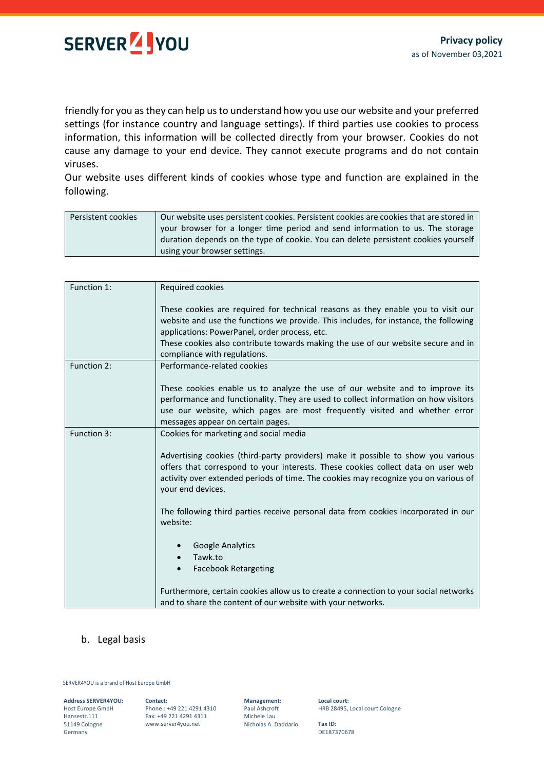

friendly for you as they can help us to understand how you use our website and your preferred settings (for instance country and language settings). If third parties use cookies to process information, this information will be collected directly from your browser. Cookies do not cause any damage to your end device. They cannot execute programs and do not contain viruses.

Our website uses different kinds of cookies whose type and function are explained in the following.

| Persistent cookies | Our website uses persistent cookies. Persistent cookies are cookies that are stored in |
|--------------------|----------------------------------------------------------------------------------------|
|                    | your browser for a longer time period and send information to us. The storage          |
|                    | duration depends on the type of cookie. You can delete persistent cookies yourself     |
|                    | using your browser settings.                                                           |

| Function 1: | Required cookies                                                                                                                                                                                                                                                                       |
|-------------|----------------------------------------------------------------------------------------------------------------------------------------------------------------------------------------------------------------------------------------------------------------------------------------|
|             | These cookies are required for technical reasons as they enable you to visit our<br>website and use the functions we provide. This includes, for instance, the following<br>applications: PowerPanel, order process, etc.                                                              |
|             | These cookies also contribute towards making the use of our website secure and in<br>compliance with regulations.                                                                                                                                                                      |
| Function 2: | Performance-related cookies                                                                                                                                                                                                                                                            |
|             | These cookies enable us to analyze the use of our website and to improve its<br>performance and functionality. They are used to collect information on how visitors<br>use our website, which pages are most frequently visited and whether error<br>messages appear on certain pages. |
| Function 3: | Cookies for marketing and social media                                                                                                                                                                                                                                                 |
|             | Advertising cookies (third-party providers) make it possible to show you various<br>offers that correspond to your interests. These cookies collect data on user web<br>activity over extended periods of time. The cookies may recognize you on various of<br>your end devices.       |
|             | The following third parties receive personal data from cookies incorporated in our<br>website:                                                                                                                                                                                         |
|             | <b>Google Analytics</b>                                                                                                                                                                                                                                                                |
|             | Tawk.to<br>$\bullet$                                                                                                                                                                                                                                                                   |
|             | <b>Facebook Retargeting</b><br>$\bullet$                                                                                                                                                                                                                                               |
|             | Furthermore, certain cookies allow us to create a connection to your social networks<br>and to share the content of our website with your networks.                                                                                                                                    |

#### b. Legal basis

#### SERVER4YOU is a brand of Host Europe GmbH

**Address SERVER4YOU:** Host Europe GmbH Hansestr.111 51149 Cologne Germany

**Contact:** Phone.: +49 221 4291 4310 Fax: +49 221 4291 4311 www.server4you.net

**Management:** Paul Ashcroft Michele Lau Nicholas A. Daddario

**Local court:** HRB 28495, Local court Cologne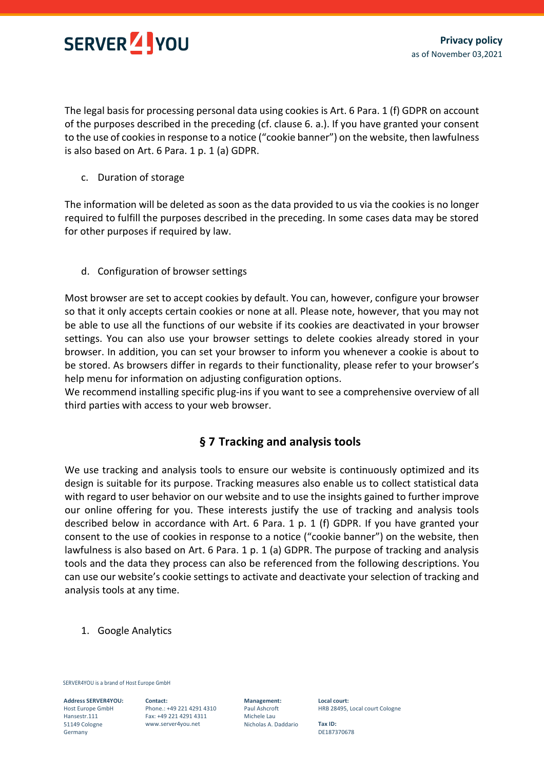

The legal basis for processing personal data using cookies is Art. 6 Para. 1 (f) GDPR on account of the purposes described in the preceding (cf. clause 6. a.). If you have granted your consent to the use of cookies in response to a notice ("cookie banner") on the website, then lawfulness is also based on Art. 6 Para. 1 p. 1 (a) GDPR.

c. Duration of storage

The information will be deleted as soon as the data provided to us via the cookies is no longer required to fulfill the purposes described in the preceding. In some cases data may be stored for other purposes if required by law.

d. Configuration of browser settings

Most browser are set to accept cookies by default. You can, however, configure your browser so that it only accepts certain cookies or none at all. Please note, however, that you may not be able to use all the functions of our website if its cookies are deactivated in your browser settings. You can also use your browser settings to delete cookies already stored in your browser. In addition, you can set your browser to inform you whenever a cookie is about to be stored. As browsers differ in regards to their functionality, please refer to your browser's help menu for information on adjusting configuration options.

We recommend installing specific plug-ins if you want to see a comprehensive overview of all third parties with access to your web browser.

# **§ 7 Tracking and analysis tools**

We use tracking and analysis tools to ensure our website is continuously optimized and its design is suitable for its purpose. Tracking measures also enable us to collect statistical data with regard to user behavior on our website and to use the insights gained to further improve our online offering for you. These interests justify the use of tracking and analysis tools described below in accordance with Art. 6 Para. 1 p. 1 (f) GDPR. If you have granted your consent to the use of cookies in response to a notice ("cookie banner") on the website, then lawfulness is also based on Art. 6 Para. 1 p. 1 (a) GDPR. The purpose of tracking and analysis tools and the data they process can also be referenced from the following descriptions. You can use our website's cookie settings to activate and deactivate your selection of tracking and analysis tools at any time.

1. Google Analytics

SERVER4YOU is a brand of Host Europe GmbH

**Address SERVER4YOU:** Host Europe GmbH Hansestr.111 51149 Cologne Germany

**Contact:** Phone.: +49 221 4291 4310 Fax: +49 221 4291 4311 www.server4you.net

**Management:** Paul Ashcroft Michele Lau Nicholas A. Daddario **Local court:** HRB 28495, Local court Cologne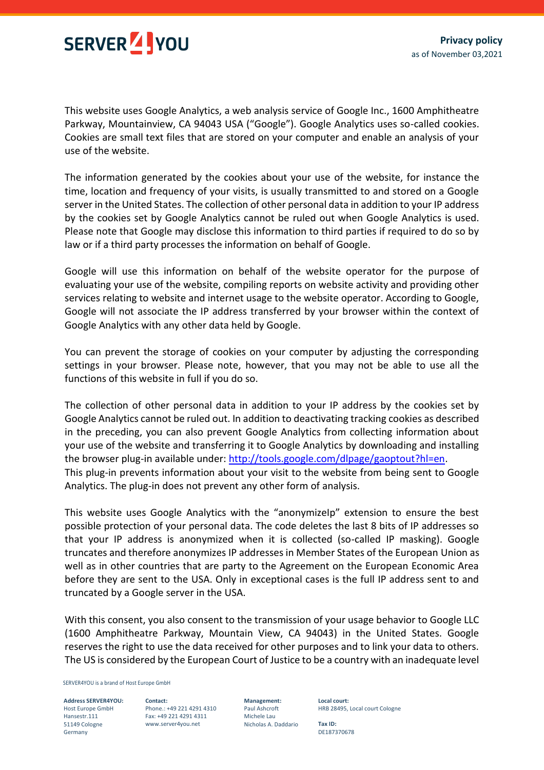

This website uses Google Analytics, a web analysis service of Google Inc., 1600 Amphitheatre Parkway, Mountainview, CA 94043 USA ("Google"). Google Analytics uses so-called cookies. Cookies are small text files that are stored on your computer and enable an analysis of your use of the website.

The information generated by the cookies about your use of the website, for instance the time, location and frequency of your visits, is usually transmitted to and stored on a Google server in the United States. The collection of other personal data in addition to your IP address by the cookies set by Google Analytics cannot be ruled out when Google Analytics is used. Please note that Google may disclose this information to third parties if required to do so by law or if a third party processes the information on behalf of Google.

Google will use this information on behalf of the website operator for the purpose of evaluating your use of the website, compiling reports on website activity and providing other services relating to website and internet usage to the website operator. According to Google, Google will not associate the IP address transferred by your browser within the context of Google Analytics with any other data held by Google.

You can prevent the storage of cookies on your computer by adjusting the corresponding settings in your browser. Please note, however, that you may not be able to use all the functions of this website in full if you do so.

The collection of other personal data in addition to your IP address by the cookies set by Google Analytics cannot be ruled out. In addition to deactivating tracking cookies as described in the preceding, you can also prevent Google Analytics from collecting information about your use of the website and transferring it to Google Analytics by downloading and installing the browser plug-in available under: [http://tools.google.com/dlpage/gaoptout?hl=en.](http://tools.google.com/dlpage/gaoptout?hl=en) This plug-in prevents information about your visit to the website from being sent to Google Analytics. The plug-in does not prevent any other form of analysis.

This website uses Google Analytics with the "anonymizeIp" extension to ensure the best possible protection of your personal data. The code deletes the last 8 bits of IP addresses so that your IP address is anonymized when it is collected (so-called IP masking). Google truncates and therefore anonymizes IP addresses in Member States of the European Union as well as in other countries that are party to the Agreement on the European Economic Area before they are sent to the USA. Only in exceptional cases is the full IP address sent to and truncated by a Google server in the USA.

With this consent, you also consent to the transmission of your usage behavior to Google LLC (1600 Amphitheatre Parkway, Mountain View, CA 94043) in the United States. Google reserves the right to use the data received for other purposes and to link your data to others. The US is considered by the European Court of Justice to be a country with an inadequate level

SERVER4YOU is a brand of Host Europe GmbH

**Address SERVER4YOU:** Host Europe GmbH Hansestr.111 51149 Cologne Germany

**Contact:** Phone.: +49 221 4291 4310 Fax: +49 221 4291 4311 www.server4you.net

**Management:** Paul Ashcroft Michele Lau Nicholas A. Daddario **Local court:** HRB 28495, Local court Cologne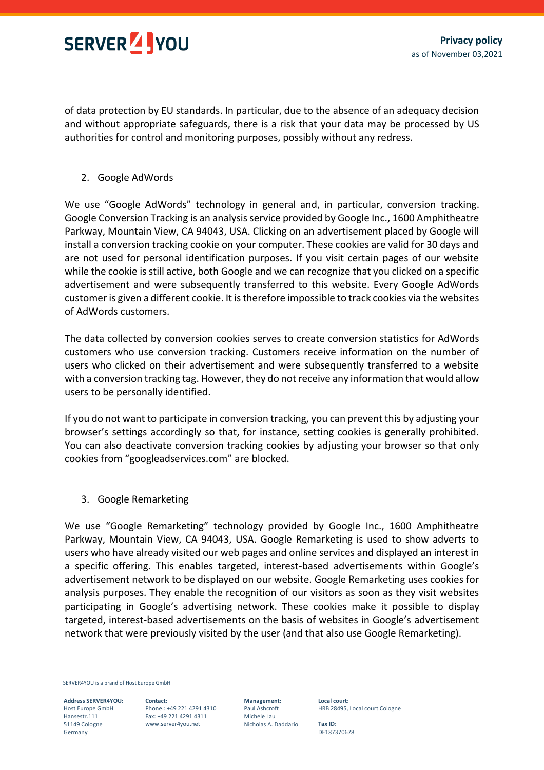

of data protection by EU standards. In particular, due to the absence of an adequacy decision and without appropriate safeguards, there is a risk that your data may be processed by US authorities for control and monitoring purposes, possibly without any redress.

2. Google AdWords

We use "Google AdWords" technology in general and, in particular, conversion tracking. Google Conversion Tracking is an analysis service provided by Google Inc., 1600 Amphitheatre Parkway, Mountain View, CA 94043, USA. Clicking on an advertisement placed by Google will install a conversion tracking cookie on your computer. These cookies are valid for 30 days and are not used for personal identification purposes. If you visit certain pages of our website while the cookie is still active, both Google and we can recognize that you clicked on a specific advertisement and were subsequently transferred to this website. Every Google AdWords customer is given a different cookie. It is therefore impossible to track cookies via the websites of AdWords customers.

The data collected by conversion cookies serves to create conversion statistics for AdWords customers who use conversion tracking. Customers receive information on the number of users who clicked on their advertisement and were subsequently transferred to a website with a conversion tracking tag. However, they do not receive any information that would allow users to be personally identified.

If you do not want to participate in conversion tracking, you can prevent this by adjusting your browser's settings accordingly so that, for instance, setting cookies is generally prohibited. You can also deactivate conversion tracking cookies by adjusting your browser so that only cookies from "googleadservices.com" are blocked.

3. Google Remarketing

We use "Google Remarketing" technology provided by Google Inc., 1600 Amphitheatre Parkway, Mountain View, CA 94043, USA. Google Remarketing is used to show adverts to users who have already visited our web pages and online services and displayed an interest in a specific offering. This enables targeted, interest-based advertisements within Google's advertisement network to be displayed on our website. Google Remarketing uses cookies for analysis purposes. They enable the recognition of our visitors as soon as they visit websites participating in Google's advertising network. These cookies make it possible to display targeted, interest-based advertisements on the basis of websites in Google's advertisement network that were previously visited by the user (and that also use Google Remarketing).

SERVER4YOU is a brand of Host Europe GmbH

**Address SERVER4YOU:** Host Europe GmbH Hansestr.111 51149 Cologne Germany

**Contact:** Phone.: +49 221 4291 4310 Fax: +49 221 4291 4311 www.server4you.net

**Management:** Paul Ashcroft Michele Lau Nicholas A. Daddario **Local court:** HRB 28495, Local court Cologne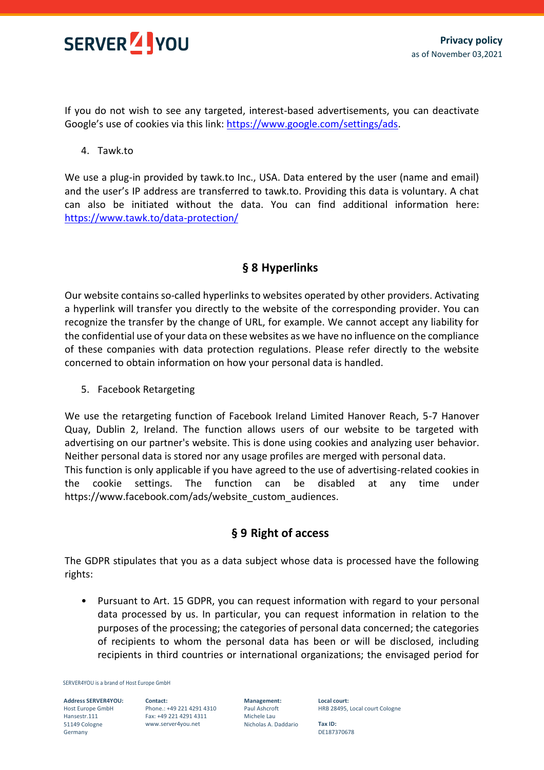

If you do not wish to see any targeted, interest-based advertisements, you can deactivate Google's use of cookies via this link: [https://www.google.com/settings/ads.](https://www.google.de/settings/ads)

## 4. Tawk.to

We use a plug-in provided by tawk.to Inc., USA. Data entered by the user (name and email) and the user's IP address are transferred to tawk.to. Providing this data is voluntary. A chat can also be initiated without the data. You can find additional information here: <https://www.tawk.to/data-protection/>

# **§ 8 Hyperlinks**

Our website contains so-called hyperlinks to websites operated by other providers. Activating a hyperlink will transfer you directly to the website of the corresponding provider. You can recognize the transfer by the change of URL, for example. We cannot accept any liability for the confidential use of your data on these websites as we have no influence on the compliance of these companies with data protection regulations. Please refer directly to the website concerned to obtain information on how your personal data is handled.

#### 5. Facebook Retargeting

We use the retargeting function of Facebook Ireland Limited Hanover Reach, 5-7 Hanover Quay, Dublin 2, Ireland. The function allows users of our website to be targeted with advertising on our partner's website. This is done using cookies and analyzing user behavior. Neither personal data is stored nor any usage profiles are merged with personal data.

This function is only applicable if you have agreed to the use of advertising-related cookies in the cookie settings. The function can be disabled at any time under https://www.facebook.com/ads/website\_custom\_audiences.

# **§ 9 Right of access**

The GDPR stipulates that you as a data subject whose data is processed have the following rights:

• Pursuant to Art. 15 GDPR, you can request information with regard to your personal data processed by us. In particular, you can request information in relation to the purposes of the processing; the categories of personal data concerned; the categories of recipients to whom the personal data has been or will be disclosed, including recipients in third countries or international organizations; the envisaged period for

SERVER4YOU is a brand of Host Europe GmbH

**Address SERVER4YOU:** Host Europe GmbH Hansestr.111 51149 Cologne Germany

**Contact:** Phone.: +49 221 4291 4310 Fax: +49 221 4291 4311 www.server4you.net

**Management:** Paul Ashcroft Michele Lau Nicholas A. Daddario **Local court:** HRB 28495, Local court Cologne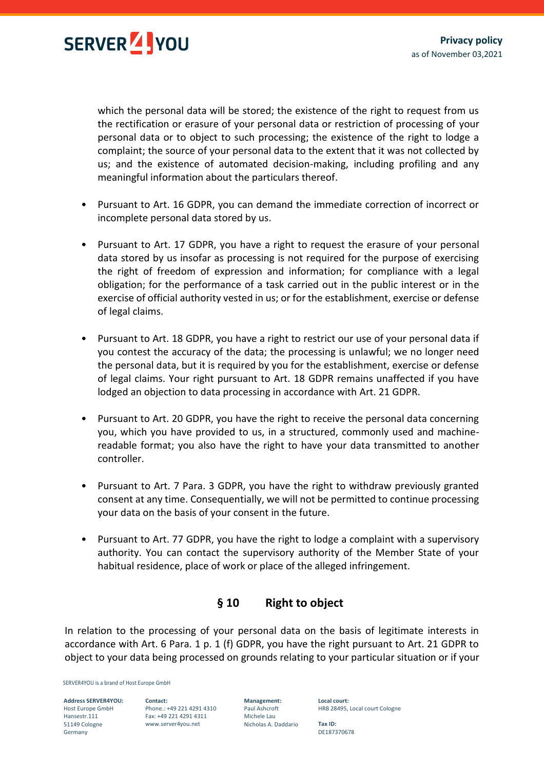

which the personal data will be stored; the existence of the right to request from us the rectification or erasure of your personal data or restriction of processing of your personal data or to object to such processing; the existence of the right to lodge a complaint; the source of your personal data to the extent that it was not collected by us; and the existence of automated decision-making, including profiling and any meaningful information about the particulars thereof.

- Pursuant to Art. 16 GDPR, you can demand the immediate correction of incorrect or incomplete personal data stored by us.
- Pursuant to Art. 17 GDPR, you have a right to request the erasure of your personal data stored by us insofar as processing is not required for the purpose of exercising the right of freedom of expression and information; for compliance with a legal obligation; for the performance of a task carried out in the public interest or in the exercise of official authority vested in us; or for the establishment, exercise or defense of legal claims.
- Pursuant to Art. 18 GDPR, you have a right to restrict our use of your personal data if you contest the accuracy of the data; the processing is unlawful; we no longer need the personal data, but it is required by you for the establishment, exercise or defense of legal claims. Your right pursuant to Art. 18 GDPR remains unaffected if you have lodged an objection to data processing in accordance with Art. 21 GDPR.
- Pursuant to Art. 20 GDPR, you have the right to receive the personal data concerning you, which you have provided to us, in a structured, commonly used and machinereadable format; you also have the right to have your data transmitted to another controller.
- Pursuant to Art. 7 Para. 3 GDPR, you have the right to withdraw previously granted consent at any time. Consequentially, we will not be permitted to continue processing your data on the basis of your consent in the future.
- Pursuant to Art. 77 GDPR, you have the right to lodge a complaint with a supervisory authority. You can contact the supervisory authority of the Member State of your habitual residence, place of work or place of the alleged infringement.

# **§ 10 Right to object**

In relation to the processing of your personal data on the basis of legitimate interests in accordance with Art. 6 Para. 1 p. 1 (f) GDPR, you have the right pursuant to Art. 21 GDPR to object to your data being processed on grounds relating to your particular situation or if your

SERVER4YOU is a brand of Host Europe GmbH

**Address SERVER4YOU:** Host Europe GmbH Hansestr.111 51149 Cologne Germany

**Contact:** Phone.: +49 221 4291 4310 Fax: +49 221 4291 4311 www.server4you.net

**Management:** Paul Ashcroft Michele Lau Nicholas A. Daddario **Local court:** HRB 28495, Local court Cologne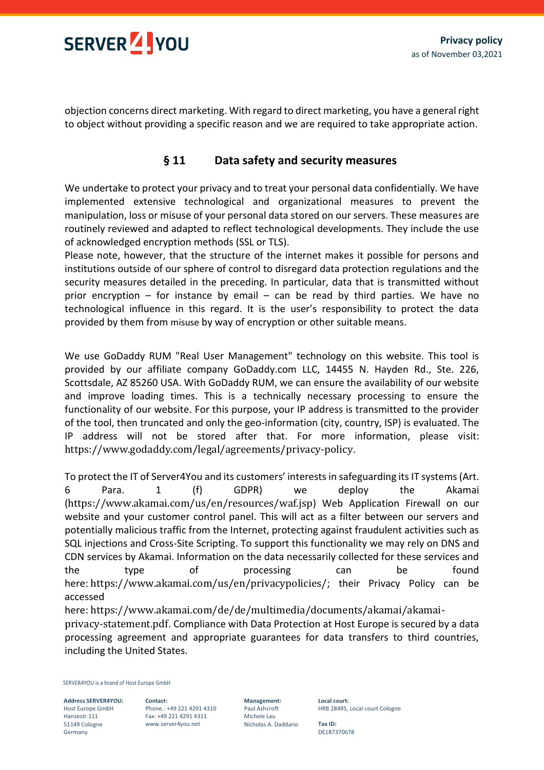

objection concerns direct marketing. With regard to direct marketing, you have a general right to object without providing a specific reason and we are required to take appropriate action.

# **§ 11 Data safety and security measures**

We undertake to protect your privacy and to treat your personal data confidentially. We have implemented extensive technological and organizational measures to prevent the manipulation, loss or misuse of your personal data stored on our servers. These measures are routinely reviewed and adapted to reflect technological developments. They include the use of acknowledged encryption methods (SSL or TLS).

Please note, however, that the structure of the internet makes it possible for persons and institutions outside of our sphere of control to disregard data protection regulations and the security measures detailed in the preceding. In particular, data that is transmitted without prior encryption  $-$  for instance by email  $-$  can be read by third parties. We have no technological influence in this regard. It is the user's responsibility to protect the data provided by them from misuse by way of encryption or other suitable means.

We use GoDaddy RUM "Real User Management" technology on this website. This tool is provided by our affiliate company GoDaddy.com LLC, 14455 N. Hayden Rd., Ste. 226, Scottsdale, AZ 85260 USA. With GoDaddy RUM, we can ensure the availability of our website and improve loading times. This is a technically necessary processing to ensure the functionality of our website. For this purpose, your IP address is transmitted to the provider of the tool, then truncated and only the geo-information (city, country, ISP) is evaluated. The IP address will not be stored after that. For more information, please visit: <https://www.godaddy.com/legal/agreements/privacy-policy>.

To protect the IT of Server4You and its customers' interests in safeguarding its IT systems (Art. 6 Para. 1 (f) GDPR) we deploy the Akamai (<https://www.akamai.com/us/en/resources/waf.jsp>) Web Application Firewall on our website and your customer control panel. This will act as a filter between our servers and potentially malicious traffic from the Internet, protecting against fraudulent activities such as SQL injections and Cross-Site Scripting. To support this functionality we may rely on DNS and CDN services by Akamai. Information on the data necessarily collected for these services and the type of processing can be found here: <https://www.akamai.com/us/en/privacypolicies/>; their Privacy Policy can be accessed

here: [https://www.akamai.com/de/de/multimedia/documents/akamai/akamai](https://www.akamai.com/de/de/multimedia/documents/akamai/akamai-privacy-statementjuly-2018.pdf)[privacy-statement.pdf](https://www.akamai.com/de/de/multimedia/documents/akamai/akamai-privacy-statementjuly-2018.pdf). Compliance with Data Protection at Host Europe is secured by a data processing agreement and appropriate guarantees for data transfers to third countries, including the United States.

SERVER4YOU is a brand of Host Europe GmbH

**Address SERVER4YOU:** Host Europe GmbH Hansestr.111 51149 Cologne Germany

**Contact:** Phone.: +49 221 4291 4310 Fax: +49 221 4291 4311 www.server4you.net

**Management:** Paul Ashcroft Michele Lau Nicholas A. Daddario **Local court:** HRB 28495, Local court Cologne